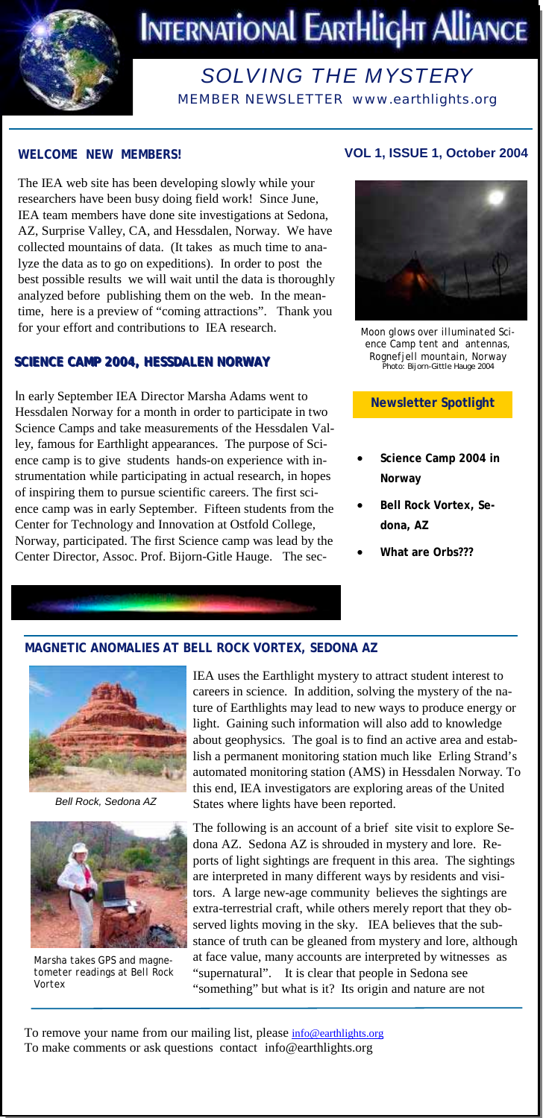

# **INTERNATIONAL EARTHLIGHT ALLIANCE**

# *SOLVING THE MYSTERY*

MEMBER NEWSLETTER www.earthlights.org

#### **WELCOME NEW MEMBERS!**

The IEA web site has been developing slowly while your researchers have been busy doing field work! Since June, IEA team members have done site investigations at Sedona, AZ, Surprise Valley, CA, and Hessdalen, Norway. We have collected mountains of data. (It takes as much time to analyze the data as to go on expeditions). In order to post the best possible results we will wait until the data is thoroughly analyzed before publishing them on the web. In the meantime, here is a preview of "coming attractions". Thank you for your effort and contributions to IEA research.

#### **SCIENCE CAMP 2004, HESSDALEN NORWAY SCIENCE CAMP 2004, HESSDALEN NORWAY**

In early September IEA Director Marsha Adams went to Hessdalen Norway for a month in order to participate in two Science Camps and take measurements of the Hessdalen Valley, famous for Earthlight appearances. The purpose of Science camp is to give students hands-on experience with instrumentation while participating in actual research, in hopes of inspiring them to pursue scientific careers. The first science camp was in early September. Fifteen students from the Center for Technology and Innovation at Ostfold College, Norway, participated. The first Science camp was lead by the Center Director, Assoc. Prof. Bijorn-Gitle Hauge. The sec-

## **VOL 1, ISSUE 1, October 2004**



*Moon glows over illuminated Science Camp tent and antennas, Rognefjell mountain, Norway*  Photo: Bijorn-Gittle Hauge 2004

**Newsletter Spotlight** 

- **Science Camp 2004 in Norway**
- **Bell Rock Vortex, Sedona, AZ**
- **What are Orbs???**

#### **MAGNETIC ANOMALIES AT BELL ROCK VORTEX, SEDONA AZ**



*Bell Rock, Sedona AZ* 



*Marsha takes GPS and magnetometer readings at Bell Rock Vortex* 

IEA uses the Earthlight mystery to attract student interest to careers in science. In addition, solving the mystery of the nature of Earthlights may lead to new ways to produce energy or light. Gaining such information will also add to knowledge about geophysics. The goal is to find an active area and establish a permanent monitoring station much like Erling Strand's automated monitoring station (AMS) in Hessdalen Norway. To this end, IEA investigators are exploring areas of the United States where lights have been reported.

The following is an account of a brief site visit to explore Sedona AZ. Sedona AZ is shrouded in mystery and lore. Reports of light sightings are frequent in this area. The sightings are interpreted in many different ways by residents and visitors. A large new-age community believes the sightings are extra-terrestrial craft, while others merely report that they observed lights moving in the sky. IEA believes that the substance of truth can be gleaned from mystery and lore, although at face value, many accounts are interpreted by witnesses as "supernatural". It is clear that people in Sedona see "something" but what is it? Its origin and nature are not

To remove your name from our mailing list, please info@earthlights.org To make comments or ask questions contact info@earthlights.org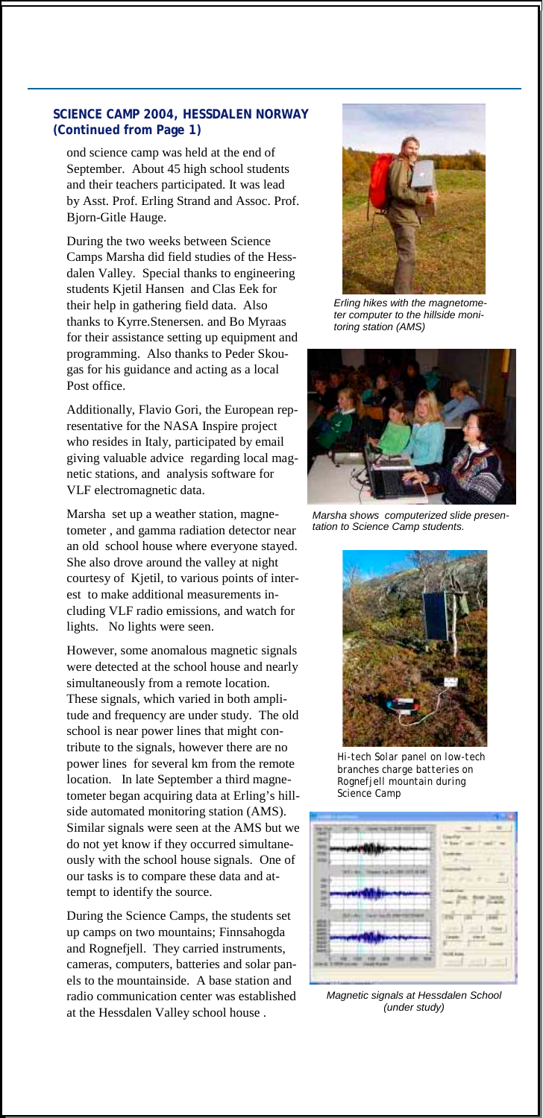#### **SCIENCE CAMP 2004, HESSDALEN NORWAY (Continued from Page 1)**

ond science camp was held at the end of September. About 45 high school students and their teachers participated. It was lead by Asst. Prof. Erling Strand and Assoc. Prof. Bjorn-Gitle Hauge.

During the two weeks between Science Camps Marsha did field studies of the Hessdalen Valley. Special thanks to engineering students Kjetil Hansen and Clas Eek for their help in gathering field data. Also thanks to Kyrre.Stenersen. and Bo Myraas for their assistance setting up equipment and programming. Also thanks to Peder Skougas for his guidance and acting as a local Post office.

Additionally, Flavio Gori, the European representative for the NASA Inspire project who resides in Italy, participated by email giving valuable advice regarding local magnetic stations, and analysis software for VLF electromagnetic data.

Marsha set up a weather station, magnetometer , and gamma radiation detector near an old school house where everyone stayed. She also drove around the valley at night courtesy of Kjetil, to various points of interest to make additional measurements including VLF radio emissions, and watch for lights. No lights were seen.

However, some anomalous magnetic signals were detected at the school house and nearly simultaneously from a remote location. These signals, which varied in both amplitude and frequency are under study. The old school is near power lines that might contribute to the signals, however there are no power lines for several km from the remote location. In late September a third magnetometer began acquiring data at Erling's hillside automated monitoring station (AMS). Similar signals were seen at the AMS but we do not yet know if they occurred simultaneously with the school house signals. One of our tasks is to compare these data and attempt to identify the source.

During the Science Camps, the students set up camps on two mountains; Finnsahogda and Rognefjell. They carried instruments, cameras, computers, batteries and solar panels to the mountainside. A base station and radio communication center was established at the Hessdalen Valley school house .



*Erling hikes with the magnetometer computer to the hillside monitoring station (AMS)* 



*Marsha shows computerized slide presentation to Science Camp students.* 



*Hi-tech Solar panel on low-tech branches charge batteries on Rognefjell mountain during Science Camp* 



*Magnetic signals at Hessdalen School (under study)*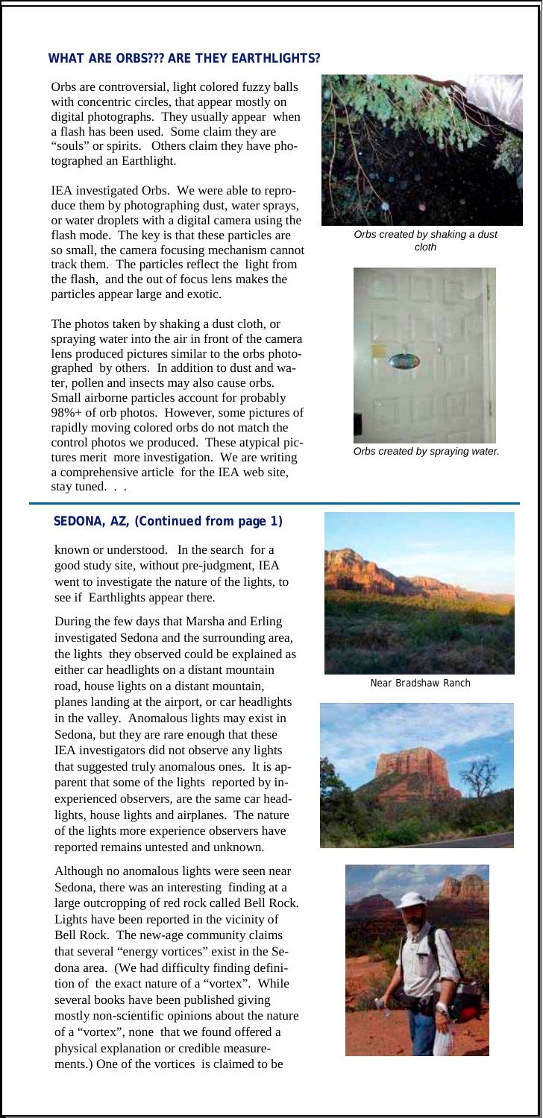#### **WHAT ARE ORBS??? ARE THEY EARTHLIGHTS?**

Orbs are controversial, light colored fuzzy balls with concentric circles, that appear mostly on digital photographs. They usually appear when a flash has been used. Some claim they are "souls" or spirits. Others claim they have photographed an Earthlight.

IEA investigated Orbs. We were able to reproduce them by photographing dust, water sprays, or water droplets with a digital camera using the flash mode. The key is that these particles are so small, the camera focusing mechanism cannot track them. The particles reflect the light from the flash, and the out of focus lens makes the particles appear large and exotic.

The photos taken by shaking a dust cloth, or spraying water into the air in front of the camera lens produced pictures similar to the orbs photographed by others. In addition to dust and water, pollen and insects may also cause orbs. Small airborne particles account for probably 98%+ of orb photos. However, some pictures of rapidly moving colored orbs do not match the control photos we produced. These atypical pictures merit more investigation. We are writing a comprehensive article for the IEA web site, stay tuned. . .

#### **SEDONA, AZ, (Continued from page 1)**

known or understood. In the search for a good study site, without pre-judgment, IEA went to investigate the nature of the lights, to see if Earthlights appear there.

During the few days that Marsha and Erling investigated Sedona and the surrounding area, the lights they observed could be explained as either car headlights on a distant mountain road, house lights on a distant mountain, planes landing at the airport, or car headlights in the valley. Anomalous lights may exist in Sedona, but they are rare enough that these IEA investigators did not observe any lights that suggested truly anomalous ones. It is apparent that some of the lights reported by inexperienced observers, are the same car headlights, house lights and airplanes. The nature of the lights more experience observers have reported remains untested and unknown.

Although no anomalous lights were seen near Sedona, there was an interesting finding at a large outcropping of red rock called Bell Rock. Lights have been reported in the vicinity of Bell Rock. The new-age community claims that several "energy vortices" exist in the Sedona area. (We had difficulty finding definition of the exact nature of a "vortex". While several books have been published giving mostly non-scientific opinions about the nature of a "vortex", none that we found offered a physical explanation or credible measurements.) One of the vortices is claimed to be



*Orbs created by shaking a dust cloth* 



*Orbs created by spraying water.* 



*Near Bradshaw Ranch*